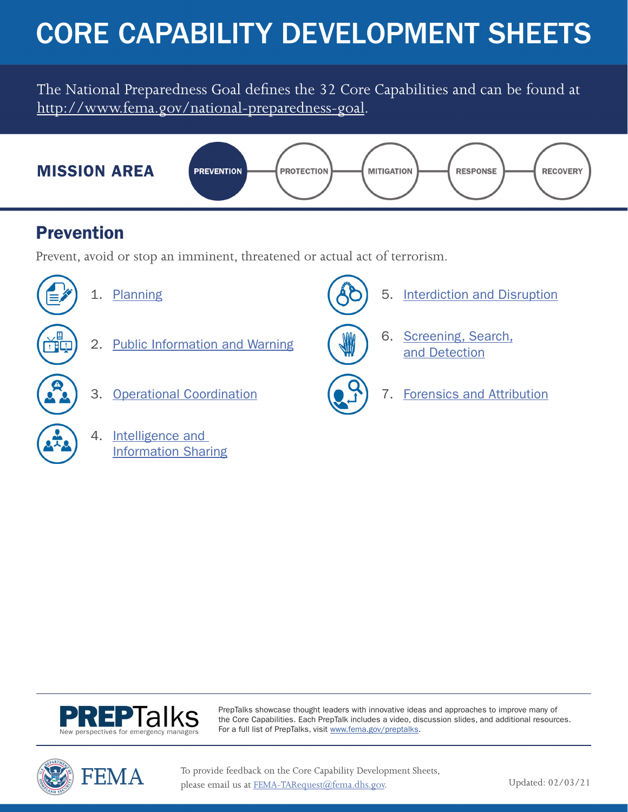# CORE CAPABILITY DEVELOPMENT SHEETS

The National Preparedness Goal defines the 32 Core Capabilities and can be found at [http://www.fema.gov/national-preparedness-goal.](http://www.fema.gov/national-preparedness-goal)



### Prevention

Prevent, avoid or stop an imminent, threatened or actual act of terrorism.



- [1. Planning](#page-1-0)
- [2. Public Information and Warning](#page-3-0)
- [3. Operational Coordination](#page-5-0)
	- [4. Intelligence and](#page-7-0)  Information Sharing





PrepTalks showcase thought leaders with innovative ideas and approaches to improve many of the Core Capabilities. Each PrepTalk includes a video, discussion slides, and additional resources. For a full list of PrepTalks, visit [www.fema.gov/preptalks](http://www.fema.gov/preptalks).



To provide feedback on the Core Capability Development Sheets, please email us at [FEMA-TARequest@fema.dhs.gov.](mailto:FEMA-TARequest%40fema.dhs.gov?subject=)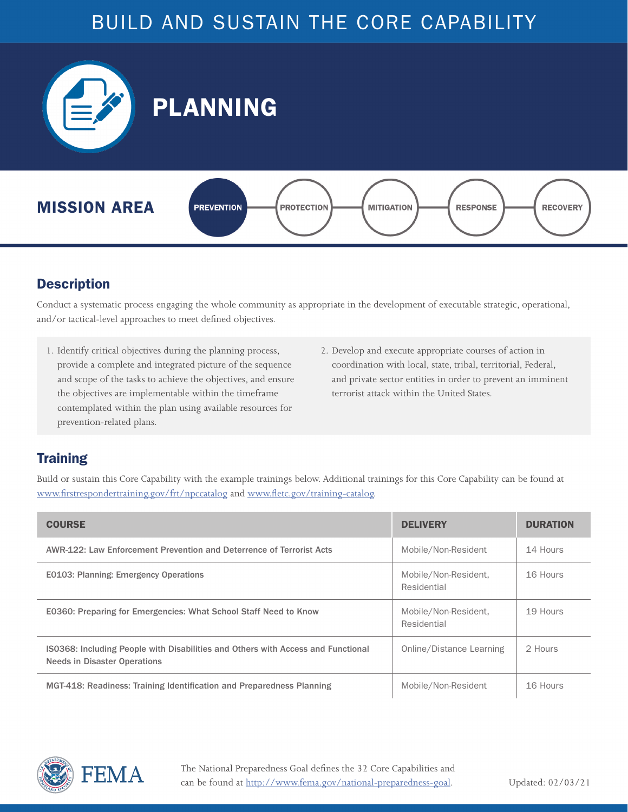<span id="page-1-0"></span>

#### **Description**

Conduct a systematic process engaging the whole community as appropriate in the development of executable strategic, operational, and/or tactical-level approaches to meet defined objectives.

- 1. Identify critical objectives during the planning process, provide a complete and integrated picture of the sequence and scope of the tasks to achieve the objectives, and ensure the objectives are implementable within the timeframe contemplated within the plan using available resources for prevention-related plans.
- 2. Develop and execute appropriate courses of action in coordination with local, state, tribal, territorial, Federal, and private sector entities in order to prevent an imminent terrorist attack within the United States.

### **Training**

| <b>COURSE</b>                                                                                                           | <b>DELIVERY</b>                     | <b>DURATION</b> |
|-------------------------------------------------------------------------------------------------------------------------|-------------------------------------|-----------------|
| AWR-122: Law Enforcement Prevention and Deterrence of Terrorist Acts                                                    | Mobile/Non-Resident                 | 14 Hours        |
| E0103: Planning: Emergency Operations                                                                                   | Mobile/Non-Resident,<br>Residential | 16 Hours        |
| E0360: Preparing for Emergencies: What School Staff Need to Know                                                        | Mobile/Non-Resident,<br>Residential | 19 Hours        |
| IS0368: Including People with Disabilities and Others with Access and Functional<br><b>Needs in Disaster Operations</b> | Online/Distance Learning            | 2 Hours         |
| MGT-418: Readiness: Training Identification and Preparedness Planning                                                   | Mobile/Non-Resident                 | 16 Hours        |

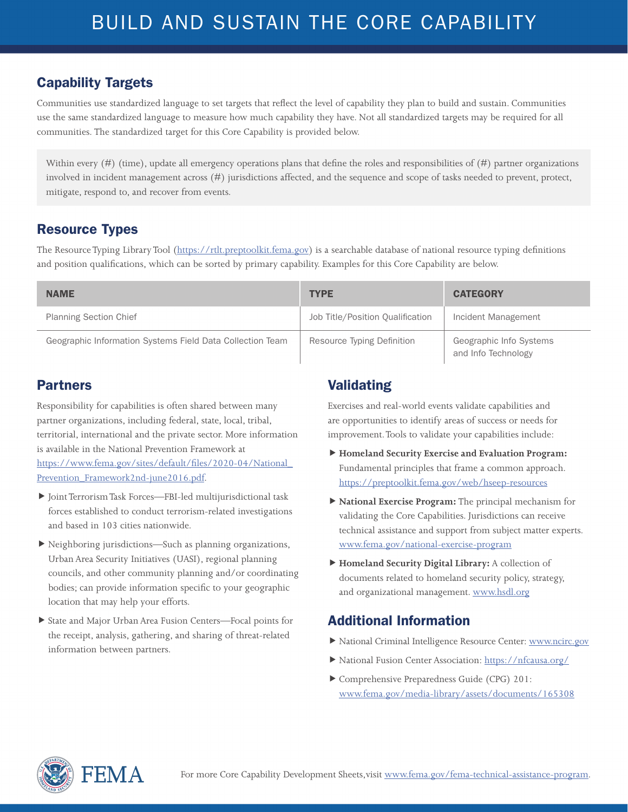Communities use standardized language to set targets that reflect the level of capability they plan to build and sustain. Communities use the same standardized language to measure how much capability they have. Not all standardized targets may be required for all communities. The standardized target for this Core Capability is provided below.

Within every  $(\#)$  (time), update all emergency operations plans that define the roles and responsibilities of  $(\#)$  partner organizations involved in incident management across (#) jurisdictions affected, and the sequence and scope of tasks needed to prevent, protect, mitigate, respond to, and recover from events.

#### Resource Types

The Resource Typing Library Tool (<https://rtlt.preptoolkit.fema.gov>) is a searchable database of national resource typing definitions and position qualifications, which can be sorted by primary capability. Examples for this Core Capability are below.

| <b>NAME</b>                                               | <b>TYPE</b>                      | <b>CATEGORY</b>                                |
|-----------------------------------------------------------|----------------------------------|------------------------------------------------|
| <b>Planning Section Chief</b>                             | Job Title/Position Qualification | Incident Management                            |
| Geographic Information Systems Field Data Collection Team | Resource Typing Definition       | Geographic Info Systems<br>and Info Technology |

#### Partners

Responsibility for capabilities is often shared between many partner organizations, including federal, state, local, tribal, territorial, international and the private sector. More information is available in the National Prevention Framework at [https://www.fema.gov/sites/default/files/2020-04/National\\_](https://www.fema.gov/sites/default/files/2020-04/National_Prevention_Framework2nd-june2016.pdf) [Prevention\\_Framework2nd-june2016.pdf](https://www.fema.gov/sites/default/files/2020-04/National_Prevention_Framework2nd-june2016.pdf).

- Joint Terrorism Task Forces—FBI-led multijurisdictional task forces established to conduct terrorism-related investigations and based in 103 cities nationwide.
- Neighboring jurisdictions—Such as planning organizations, Urban Area Security Initiatives (UASI), regional planning councils, and other community planning and/or coordinating bodies; can provide information specific to your geographic location that may help your efforts.
- State and Major Urban Area Fusion Centers—Focal points for the receipt, analysis, gathering, and sharing of threat-related information between partners.

### Validating

Exercises and real-world events validate capabilities and are opportunities to identify areas of success or needs for improvement. Tools to validate your capabilities include:

- **Homeland Security Exercise and Evaluation Program:**  Fundamental principles that frame a common approach. <https://preptoolkit.fema.gov/web/hseep-resources>
- **National Exercise Program:** The principal mechanism for validating the Core Capabilities. Jurisdictions can receive technical assistance and support from subject matter experts. [www.fema.gov/national-exercise-program](http://www.fema.gov/national-exercise-program)
- **Homeland Security Digital Library:** A collection of documents related to homeland security policy, strategy, and organizational management. [www.hsdl.org](http://www.hsdl.org)

- National Criminal Intelligence Resource Center: [www.ncirc.gov](http://www.ncirc.gov)
- National Fusion Center Association: <https://nfcausa.org/>
- Comprehensive Preparedness Guide (CPG) 201: [www.fema.gov/media-library/assets/documents/165308](http://www.fema.gov/media-library/assets/documents/165308)

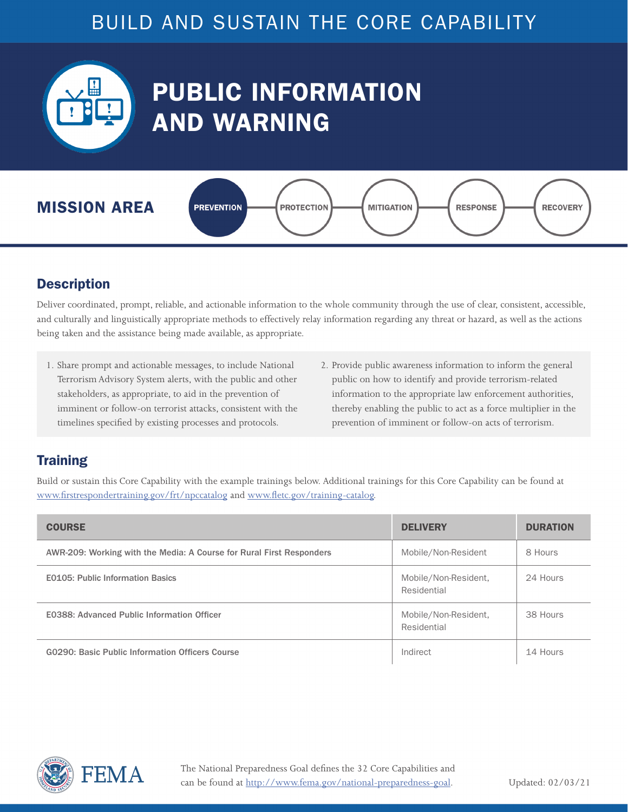<span id="page-3-0"></span>

# PUBLIC INFORMATION AND WARNING



#### **Description**

Deliver coordinated, prompt, reliable, and actionable information to the whole community through the use of clear, consistent, accessible, and culturally and linguistically appropriate methods to effectively relay information regarding any threat or hazard, as well as the actions being taken and the assistance being made available, as appropriate.

- 1. Share prompt and actionable messages, to include National Terrorism Advisory System alerts, with the public and other stakeholders, as appropriate, to aid in the prevention of imminent or follow-on terrorist attacks, consistent with the timelines specified by existing processes and protocols.
- 2. Provide public awareness information to inform the general public on how to identify and provide terrorism-related information to the appropriate law enforcement authorities, thereby enabling the public to act as a force multiplier in the prevention of imminent or follow-on acts of terrorism.

### **Training**

| <b>COURSE</b>                                                        | <b>DELIVERY</b>                     | <b>DURATION</b> |
|----------------------------------------------------------------------|-------------------------------------|-----------------|
| AWR-209: Working with the Media: A Course for Rural First Responders | Mobile/Non-Resident                 | 8 Hours         |
| <b>E0105: Public Information Basics</b>                              | Mobile/Non-Resident,<br>Residential | 24 Hours        |
| <b>E0388: Advanced Public Information Officer</b>                    | Mobile/Non-Resident,<br>Residential | 38 Hours        |
| G0290: Basic Public Information Officers Course                      | Indirect                            | 14 Hours        |

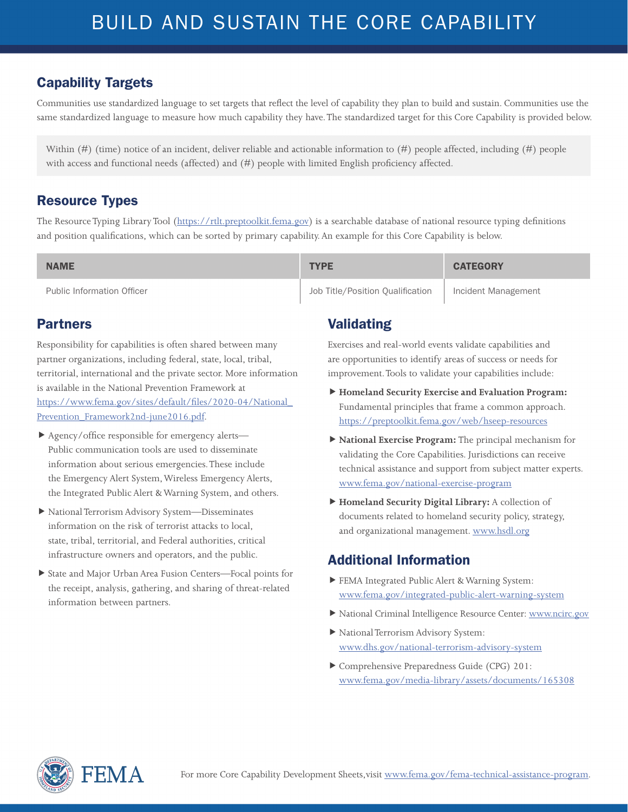Communities use standardized language to set targets that reflect the level of capability they plan to build and sustain. Communities use the same standardized language to measure how much capability they have. The standardized target for this Core Capability is provided below.

Within (#) (time) notice of an incident, deliver reliable and actionable information to (#) people affected, including (#) people with access and functional needs (affected) and (#) people with limited English proficiency affected.

#### Resource Types

The Resource Typing Library Tool (<https://rtlt.preptoolkit.fema.gov>) is a searchable database of national resource typing definitions and position qualifications, which can be sorted by primary capability. An example for this Core Capability is below.

| <b>NAME</b>                       | <b>TYPE</b>                      | <b>CATEGORY</b>     |
|-----------------------------------|----------------------------------|---------------------|
| <b>Public Information Officer</b> | Job Title/Position Oualification | Incident Management |

#### Partners

Responsibility for capabilities is often shared between many partner organizations, including federal, state, local, tribal, territorial, international and the private sector. More information is available in the National Prevention Framework at [https://www.fema.gov/sites/default/files/2020-04/National\\_](https://www.fema.gov/sites/default/files/2020-04/National_Prevention_Framework2nd-june2016.pdf) [Prevention\\_Framework2nd-june2016.pdf](https://www.fema.gov/sites/default/files/2020-04/National_Prevention_Framework2nd-june2016.pdf).

- Agency/office responsible for emergency alerts— Public communication tools are used to disseminate information about serious emergencies. These include the Emergency Alert System, Wireless Emergency Alerts, the Integrated Public Alert & Warning System, and others.
- National Terrorism Advisory System—Disseminates information on the risk of terrorist attacks to local, state, tribal, territorial, and Federal authorities, critical infrastructure owners and operators, and the public.
- State and Major Urban Area Fusion Centers—Focal points for the receipt, analysis, gathering, and sharing of threat-related information between partners.

### Validating

Exercises and real-world events validate capabilities and are opportunities to identify areas of success or needs for improvement. Tools to validate your capabilities include:

- **Homeland Security Exercise and Evaluation Program:**  Fundamental principles that frame a common approach. <https://preptoolkit.fema.gov/web/hseep-resources>
- **National Exercise Program:** The principal mechanism for validating the Core Capabilities. Jurisdictions can receive technical assistance and support from subject matter experts. [www.fema.gov/national-exercise-program](http://www.fema.gov/national-exercise-program)
- **Homeland Security Digital Library:** A collection of documents related to homeland security policy, strategy, and organizational management. [www.hsdl.org](http://www.hsdl.org)

- FEMA Integrated Public Alert & Warning System: [www.fema.gov/integrated-public-alert-warning-system](http://www.fema.gov/integrated-public-alert-warning-system)
- National Criminal Intelligence Resource Center: [www.ncirc.gov](http://www.ncirc.gov)
- National Terrorism Advisory System: [www.dhs.gov/national-terrorism-advisory-system](http://www.dhs.gov/national-terrorism-advisory-system)
- Comprehensive Preparedness Guide (CPG) 201: [www.fema.gov/media-library/assets/documents/165308](http://www.fema.gov/media-library/assets/documents/165308)

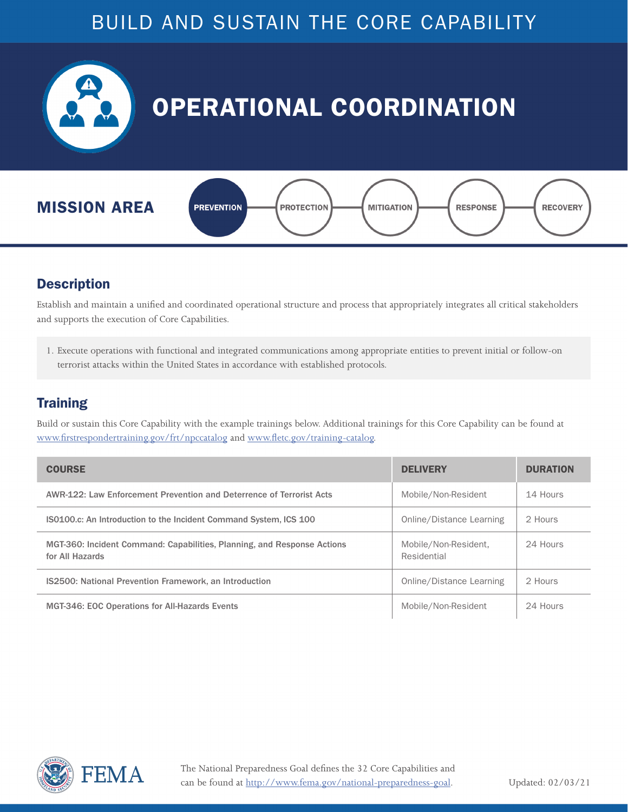<span id="page-5-0"></span>

#### **Description**

Establish and maintain a unified and coordinated operational structure and process that appropriately integrates all critical stakeholders and supports the execution of Core Capabilities.

1. Execute operations with functional and integrated communications among appropriate entities to prevent initial or follow-on terrorist attacks within the United States in accordance with established protocols.

#### **Training**

| <b>COURSE</b>                                                                              | <b>DELIVERY</b>                     | <b>DURATION</b> |
|--------------------------------------------------------------------------------------------|-------------------------------------|-----------------|
| AWR-122: Law Enforcement Prevention and Deterrence of Terrorist Acts                       | Mobile/Non-Resident                 | 14 Hours        |
| <b>ISO100.c:</b> An Introduction to the Incident Command System, ICS 100                   | Online/Distance Learning            | 2 Hours         |
| MGT-360: Incident Command: Capabilities, Planning, and Response Actions<br>for All Hazards | Mobile/Non-Resident,<br>Residential | 24 Hours        |
| <b>IS2500: National Prevention Framework, an Introduction</b>                              | Online/Distance Learning            | 2 Hours         |
| <b>MGT-346: EOC Operations for All-Hazards Events</b>                                      | Mobile/Non-Resident                 | 24 Hours        |

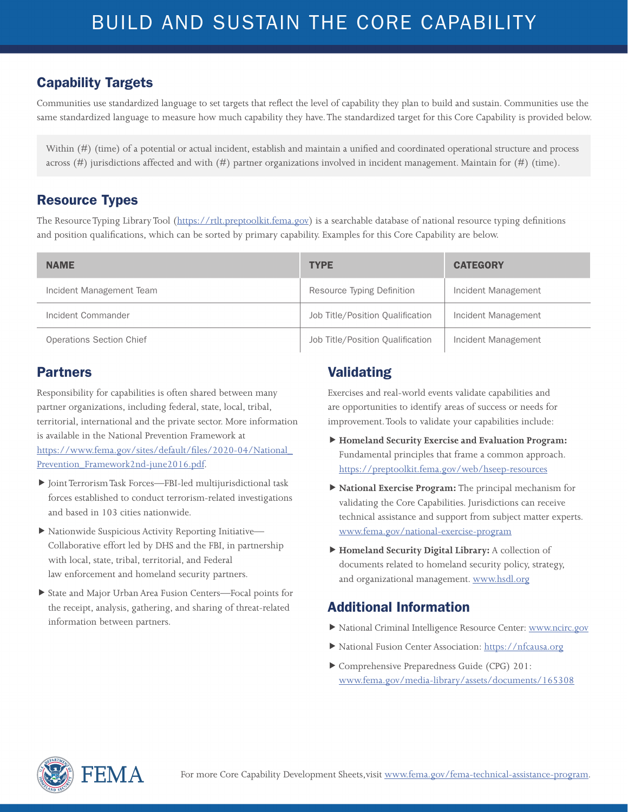Communities use standardized language to set targets that reflect the level of capability they plan to build and sustain. Communities use the same standardized language to measure how much capability they have. The standardized target for this Core Capability is provided below.

Within (#) (time) of a potential or actual incident, establish and maintain a unified and coordinated operational structure and process across (#) jurisdictions affected and with (#) partner organizations involved in incident management. Maintain for (#) (time).

#### Resource Types

The Resource Typing Library Tool (<https://rtlt.preptoolkit.fema.gov>) is a searchable database of national resource typing definitions and position qualifications, which can be sorted by primary capability. Examples for this Core Capability are below.

| <b>NAME</b>              | <b>TYPE</b>                      | <b>CATEGORY</b>     |
|--------------------------|----------------------------------|---------------------|
| Incident Management Team | Resource Typing Definition       | Incident Management |
| Incident Commander       | Job Title/Position Qualification | Incident Management |
| Operations Section Chief | Job Title/Position Qualification | Incident Management |

#### Partners

Responsibility for capabilities is often shared between many partner organizations, including federal, state, local, tribal, territorial, international and the private sector. More information is available in the National Prevention Framework at [https://www.fema.gov/sites/default/files/2020-04/National\\_](https://www.fema.gov/sites/default/files/2020-04/National_Prevention_Framework2nd-june2016.pdf) [Prevention\\_Framework2nd-june2016.pdf](https://www.fema.gov/sites/default/files/2020-04/National_Prevention_Framework2nd-june2016.pdf).

- Joint Terrorism Task Forces—FBI-led multijurisdictional task forces established to conduct terrorism-related investigations and based in 103 cities nationwide.
- Nationwide Suspicious Activity Reporting Initiative— Collaborative effort led by DHS and the FBI, in partnership with local, state, tribal, territorial, and Federal law enforcement and homeland security partners.
- State and Major Urban Area Fusion Centers—Focal points for the receipt, analysis, gathering, and sharing of threat-related information between partners.

#### Validating

Exercises and real-world events validate capabilities and are opportunities to identify areas of success or needs for improvement. Tools to validate your capabilities include:

- **Homeland Security Exercise and Evaluation Program:**  Fundamental principles that frame a common approach. <https://preptoolkit.fema.gov/web/hseep-resources>
- **National Exercise Program:** The principal mechanism for validating the Core Capabilities. Jurisdictions can receive technical assistance and support from subject matter experts. [www.fema.gov/national-exercise-program](http://www.fema.gov/national-exercise-program)
- **Homeland Security Digital Library:** A collection of documents related to homeland security policy, strategy, and organizational management. [www.hsdl.org](http://www.hsdl.org)

- National Criminal Intelligence Resource Center: [www.ncirc.gov](http://www.ncirc.gov)
- National Fusion Center Association:<https://nfcausa.org>
- Comprehensive Preparedness Guide (CPG) 201: [www.fema.gov/media-library/assets/documents/165308](http://www.fema.gov/media-library/assets/documents/165308)

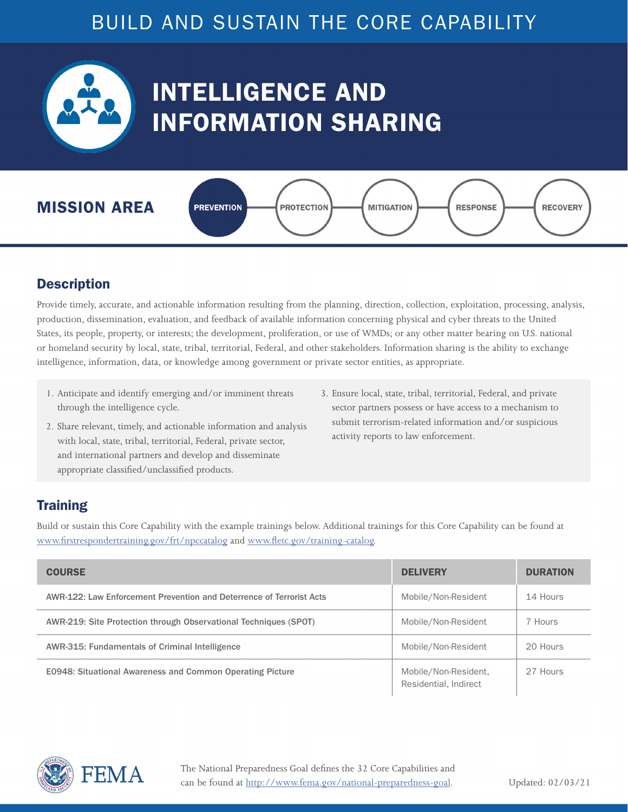<span id="page-7-0"></span>

# INTELLIGENCE AND INFORMATION SHARING



#### **Description**

Provide timely, accurate, and actionable information resulting from the planning, direction, collection, exploitation, processing, analysis, production, dissemination, evaluation, and feedback of available information concerning physical and cyber threats to the United States, its people, property, or interests; the development, proliferation, or use of WMDs; or any other matter bearing on U.S. national or homeland security by local, state, tribal, territorial, Federal, and other stakeholders. Information sharing is the ability to exchange intelligence, information, data, or knowledge among government or private sector entities, as appropriate.

- 1. Anticipate and identify emerging and/or imminent threats through the intelligence cycle.
- 3. Ensure local, state, tribal, territorial, Federal, and private sector partners possess or have access to a mechanism to submit terrorism-related information and/or suspicious activity reports to law enforcement.
- 2. Share relevant, timely, and actionable information and analysis with local, state, tribal, territorial, Federal, private sector, and international partners and develop and disseminate appropriate classified/unclassified products.

#### **Training**

| <b>COURSE</b>                                                        | <b>DELIVERY</b>                               | <b>DURATION</b> |
|----------------------------------------------------------------------|-----------------------------------------------|-----------------|
| AWR-122: Law Enforcement Prevention and Deterrence of Terrorist Acts | Mobile/Non-Resident                           | 14 Hours        |
| AWR-219: Site Protection through Observational Techniques (SPOT)     | Mobile/Non-Resident                           | 7 Hours         |
| AWR-315: Fundamentals of Criminal Intelligence                       | Mobile/Non-Resident                           | 20 Hours        |
| <b>E0948: Situational Awareness and Common Operating Picture</b>     | Mobile/Non-Resident,<br>Residential, Indirect | 27 Hours        |

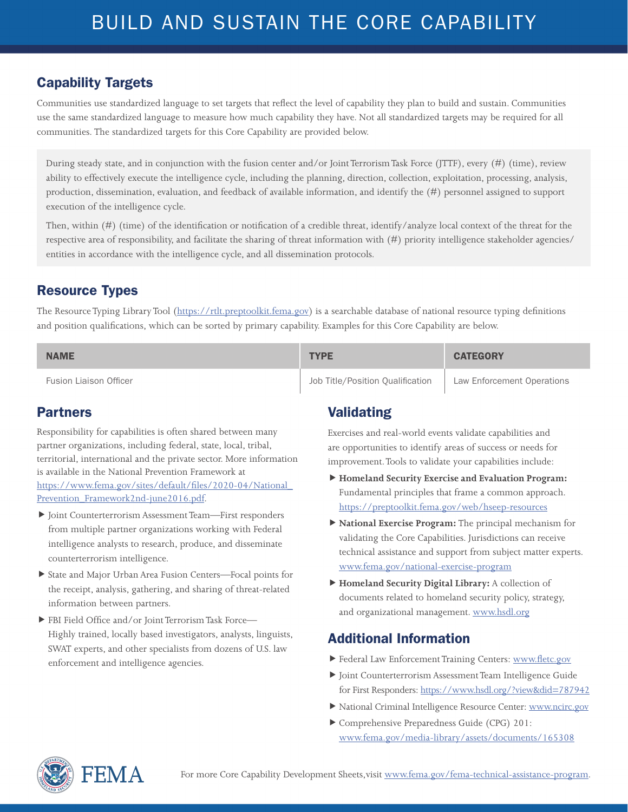#### Capability Targets

Communities use standardized language to set targets that reflect the level of capability they plan to build and sustain. Communities use the same standardized language to measure how much capability they have. Not all standardized targets may be required for all communities. The standardized targets for this Core Capability are provided below.

During steady state, and in conjunction with the fusion center and/or Joint Terrorism Task Force (JTTF), every (#) (time), review ability to effectively execute the intelligence cycle, including the planning, direction, collection, exploitation, processing, analysis, production, dissemination, evaluation, and feedback of available information, and identify the (#) personnel assigned to support execution of the intelligence cycle.

Then, within (#) (time) of the identification or notification of a credible threat, identify/analyze local context of the threat for the respective area of responsibility, and facilitate the sharing of threat information with (#) priority intelligence stakeholder agencies/ entities in accordance with the intelligence cycle, and all dissemination protocols.

#### Resource Types

The Resource Typing Library Tool (<https://rtlt.preptoolkit.fema.gov>) is a searchable database of national resource typing definitions and position qualifications, which can be sorted by primary capability. Examples for this Core Capability are below.

| <b>NAME</b>                   | <b>TYPE</b>                      | <b>CATEGORY</b>            |
|-------------------------------|----------------------------------|----------------------------|
| <b>Fusion Liaison Officer</b> | Job Title/Position Qualification | Law Enforcement Operations |

#### Partners

Responsibility for capabilities is often shared between many partner organizations, including federal, state, local, tribal, territorial, international and the private sector. More information is available in the National Prevention Framework at [https://www.fema.gov/sites/default/files/2020-04/National\\_](https://www.fema.gov/sites/default/files/2020-04/National_Prevention_Framework2nd-june2016.pdf) [Prevention\\_Framework2nd-june2016.pdf](https://www.fema.gov/sites/default/files/2020-04/National_Prevention_Framework2nd-june2016.pdf).

- Joint Counterterrorism Assessment Team—First responders from multiple partner organizations working with Federal intelligence analysts to research, produce, and disseminate counterterrorism intelligence.
- State and Major Urban Area Fusion Centers—Focal points for the receipt, analysis, gathering, and sharing of threat-related information between partners.
- FBI Field Office and/or Joint Terrorism Task Force— Highly trained, locally based investigators, analysts, linguists, SWAT experts, and other specialists from dozens of U.S. law enforcement and intelligence agencies.

#### Validating

Exercises and real-world events validate capabilities and are opportunities to identify areas of success or needs for improvement. Tools to validate your capabilities include:

- **Homeland Security Exercise and Evaluation Program:**  Fundamental principles that frame a common approach. <https://preptoolkit.fema.gov/web/hseep-resources>
- **National Exercise Program:** The principal mechanism for validating the Core Capabilities. Jurisdictions can receive technical assistance and support from subject matter experts. [www.fema.gov/national-exercise-program](http://www.fema.gov/national-exercise-program)
- **Homeland Security Digital Library:** A collection of documents related to homeland security policy, strategy, and organizational management. [www.hsdl.org](http://www.hsdl.org)

- Federal Law Enforcement Training Centers: [www.fletc.gov](http://www.fletc.gov)
- Joint Counterterrorism Assessment Team Intelligence Guide for First Responders:<https://www.hsdl.org/?view&did=787942>
- National Criminal Intelligence Resource Center: [www.ncirc.gov](http://www.ncirc.gov)
- Comprehensive Preparedness Guide (CPG) 201: [www.fema.gov/media-library/assets/documents/165308](http://www.fema.gov/media-library/assets/documents/165308)

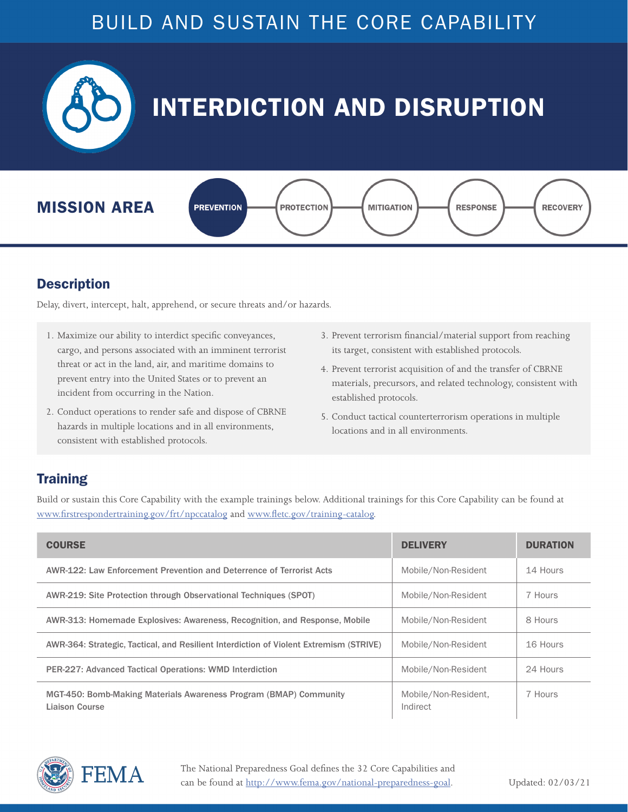<span id="page-9-0"></span>

#### **Description**

Delay, divert, intercept, halt, apprehend, or secure threats and/or hazards.

- 1. Maximize our ability to interdict specific conveyances, cargo, and persons associated with an imminent terrorist threat or act in the land, air, and maritime domains to prevent entry into the United States or to prevent an incident from occurring in the Nation.
- 2. Conduct operations to render safe and dispose of CBRNE hazards in multiple locations and in all environments, consistent with established protocols.
- 3. Prevent terrorism financial/material support from reaching its target, consistent with established protocols.
- 4. Prevent terrorist acquisition of and the transfer of CBRNE materials, precursors, and related technology, consistent with established protocols.
- 5. Conduct tactical counterterrorism operations in multiple locations and in all environments.

#### **Training**

| <b>COURSE</b>                                                                              | <b>DELIVERY</b>                  | <b>DURATION</b> |
|--------------------------------------------------------------------------------------------|----------------------------------|-----------------|
| AWR-122: Law Enforcement Prevention and Deterrence of Terrorist Acts                       | Mobile/Non-Resident              | 14 Hours        |
| AWR-219: Site Protection through Observational Techniques (SPOT)                           | Mobile/Non-Resident              | 7 Hours         |
| AWR-313: Homemade Explosives: Awareness, Recognition, and Response, Mobile                 | Mobile/Non-Resident              | 8 Hours         |
| AWR-364: Strategic, Tactical, and Resilient Interdiction of Violent Extremism (STRIVE)     | Mobile/Non-Resident              | 16 Hours        |
| <b>PER-227: Advanced Tactical Operations: WMD Interdiction</b>                             | Mobile/Non-Resident              | 24 Hours        |
| MGT-450: Bomb-Making Materials Awareness Program (BMAP) Community<br><b>Liaison Course</b> | Mobile/Non-Resident,<br>Indirect | 7 Hours         |

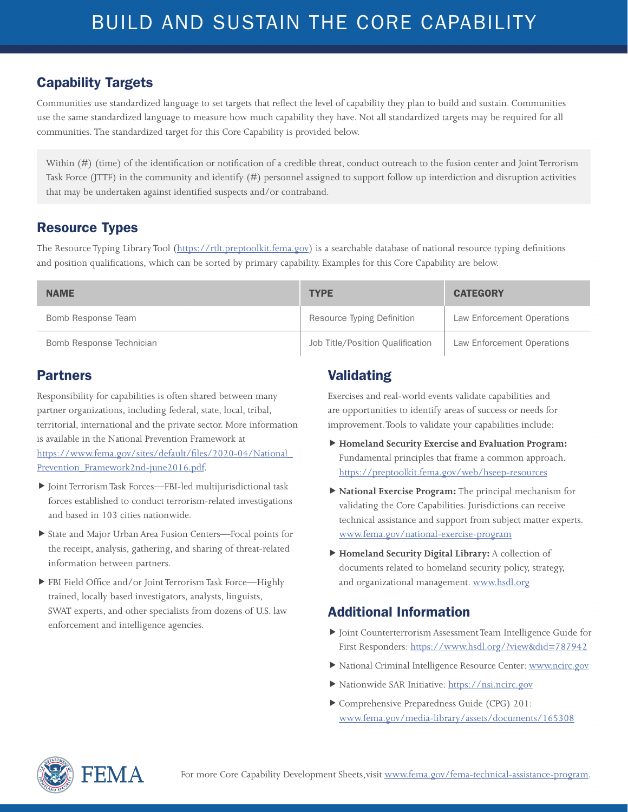Communities use standardized language to set targets that reflect the level of capability they plan to build and sustain. Communities use the same standardized language to measure how much capability they have. Not all standardized targets may be required for all communities. The standardized target for this Core Capability is provided below.

Within (#) (time) of the identification or notification of a credible threat, conduct outreach to the fusion center and Joint Terrorism Task Force (JTTF) in the community and identify (#) personnel assigned to support follow up interdiction and disruption activities that may be undertaken against identified suspects and/or contraband.

#### Resource Types

The Resource Typing Library Tool (<https://rtlt.preptoolkit.fema.gov>) is a searchable database of national resource typing definitions and position qualifications, which can be sorted by primary capability. Examples for this Core Capability are below.

| <b>NAME</b>              | <b>TYPE</b>                      | <b>CATEGORY</b>            |
|--------------------------|----------------------------------|----------------------------|
| Bomb Response Team       | Resource Typing Definition       | Law Enforcement Operations |
| Bomb Response Technician | Job Title/Position Qualification | Law Enforcement Operations |

#### Partners

Responsibility for capabilities is often shared between many partner organizations, including federal, state, local, tribal, territorial, international and the private sector. More information is available in the National Prevention Framework at [https://www.fema.gov/sites/default/files/2020-04/National\\_](https://www.fema.gov/sites/default/files/2020-04/National_Prevention_Framework2nd-june2016.pdf) [Prevention\\_Framework2nd-june2016.pdf](https://www.fema.gov/sites/default/files/2020-04/National_Prevention_Framework2nd-june2016.pdf).

- Joint Terrorism Task Forces—FBI-led multijurisdictional task forces established to conduct terrorism-related investigations and based in 103 cities nationwide.
- State and Major Urban Area Fusion Centers—Focal points for the receipt, analysis, gathering, and sharing of threat-related information between partners.
- FBI Field Office and/or Joint Terrorism Task Force—Highly trained, locally based investigators, analysts, linguists, SWAT experts, and other specialists from dozens of U.S. law enforcement and intelligence agencies.

### Validating

Exercises and real-world events validate capabilities and are opportunities to identify areas of success or needs for improvement. Tools to validate your capabilities include:

- **Homeland Security Exercise and Evaluation Program:**  Fundamental principles that frame a common approach. <https://preptoolkit.fema.gov/web/hseep-resources>
- **National Exercise Program:** The principal mechanism for validating the Core Capabilities. Jurisdictions can receive technical assistance and support from subject matter experts. [www.fema.gov/national-exercise-program](http://www.fema.gov/national-exercise-program)
- **Homeland Security Digital Library:** A collection of documents related to homeland security policy, strategy, and organizational management. [www.hsdl.org](http://www.hsdl.org)

- Joint Counterterrorism Assessment Team Intelligence Guide for First Responders:<https://www.hsdl.org/?view&did=787942>
- National Criminal Intelligence Resource Center: [www.ncirc.gov](http://www.ncirc.gov)
- Nationwide SAR Initiative:<https://nsi.ncirc.gov>
- Comprehensive Preparedness Guide (CPG) 201: [www.fema.gov/media-library/assets/documents/165308](http://www.fema.gov/media-library/assets/documents/165308)

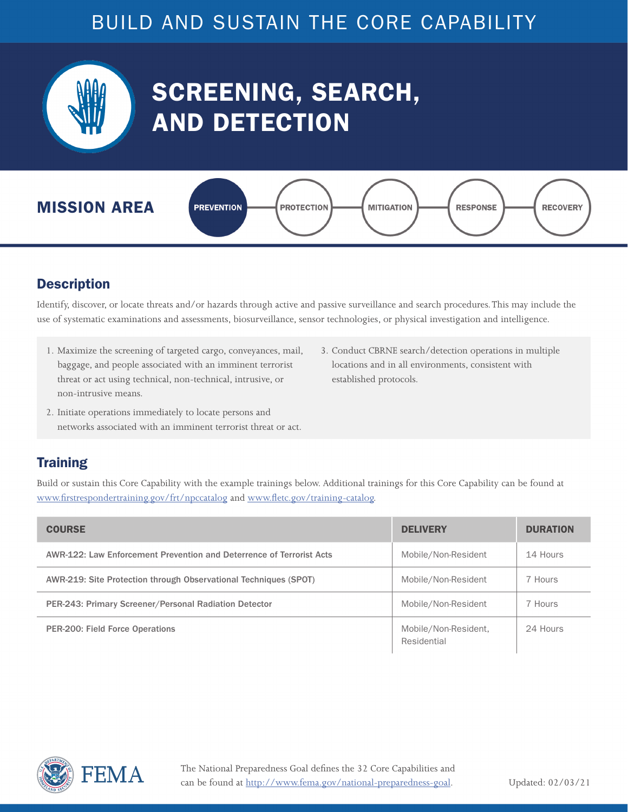<span id="page-11-0"></span>

# SCREENING, SEARCH, AND DETECTION



#### **Description**

Identify, discover, or locate threats and/or hazards through active and passive surveillance and search procedures. This may include the use of systematic examinations and assessments, biosurveillance, sensor technologies, or physical investigation and intelligence.

- 1. Maximize the screening of targeted cargo, conveyances, mail, baggage, and people associated with an imminent terrorist threat or act using technical, non-technical, intrusive, or non-intrusive means.
- 3. Conduct CBRNE search/detection operations in multiple locations and in all environments, consistent with established protocols.
- 2. Initiate operations immediately to locate persons and networks associated with an imminent terrorist threat or act.

#### **Training**

| <b>COURSE</b>                                                        | <b>DELIVERY</b>                     | <b>DURATION</b> |
|----------------------------------------------------------------------|-------------------------------------|-----------------|
| AWR-122: Law Enforcement Prevention and Deterrence of Terrorist Acts | Mobile/Non-Resident                 | 14 Hours        |
| AWR-219: Site Protection through Observational Techniques (SPOT)     | Mobile/Non-Resident                 | 7 Hours         |
| PER-243: Primary Screener/Personal Radiation Detector                | Mobile/Non-Resident                 | 7 Hours         |
| <b>PER-200: Field Force Operations</b>                               | Mobile/Non-Resident,<br>Residential | 24 Hours        |

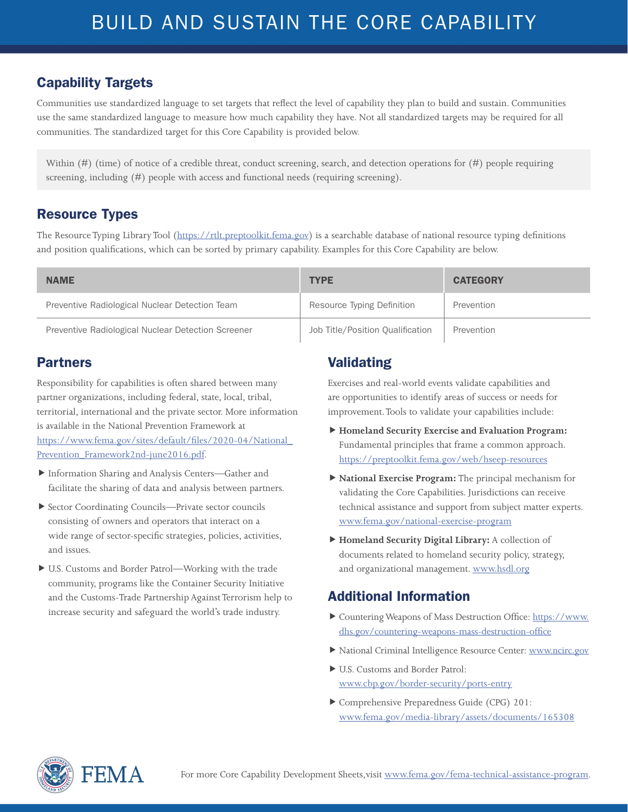Communities use standardized language to set targets that reflect the level of capability they plan to build and sustain. Communities use the same standardized language to measure how much capability they have. Not all standardized targets may be required for all communities. The standardized target for this Core Capability is provided below.

Within (#) (time) of notice of a credible threat, conduct screening, search, and detection operations for (#) people requiring screening, including (#) people with access and functional needs (requiring screening).

#### Resource Types

The Resource Typing Library Tool (<https://rtlt.preptoolkit.fema.gov>) is a searchable database of national resource typing definitions and position qualifications, which can be sorted by primary capability. Examples for this Core Capability are below.

| <b>NAME</b>                                        | <b>TYPE</b>                      | <b>CATEGORY</b> |
|----------------------------------------------------|----------------------------------|-----------------|
| Preventive Radiological Nuclear Detection Team     | Resource Typing Definition       | Prevention      |
| Preventive Radiological Nuclear Detection Screener | Job Title/Position Qualification | Prevention      |

#### Partners

Responsibility for capabilities is often shared between many partner organizations, including federal, state, local, tribal, territorial, international and the private sector. More information is available in the National Prevention Framework at [https://www.fema.gov/sites/default/files/2020-04/National\\_](https://www.fema.gov/sites/default/files/2020-04/National_Prevention_Framework2nd-june2016.pdf) [Prevention\\_Framework2nd-june2016.pdf](https://www.fema.gov/sites/default/files/2020-04/National_Prevention_Framework2nd-june2016.pdf).

- Information Sharing and Analysis Centers—Gather and facilitate the sharing of data and analysis between partners.
- Sector Coordinating Councils—Private sector councils consisting of owners and operators that interact on a wide range of sector-specific strategies, policies, activities, and issues.
- U.S. Customs and Border Patrol—Working with the trade community, programs like the Container Security Initiative and the Customs-Trade Partnership Against Terrorism help to increase security and safeguard the world's trade industry.

### Validating

Exercises and real-world events validate capabilities and are opportunities to identify areas of success or needs for improvement. Tools to validate your capabilities include:

- **Homeland Security Exercise and Evaluation Program:**  Fundamental principles that frame a common approach. <https://preptoolkit.fema.gov/web/hseep-resources>
- **National Exercise Program:** The principal mechanism for validating the Core Capabilities. Jurisdictions can receive technical assistance and support from subject matter experts. [www.fema.gov/national-exercise-program](http://www.fema.gov/national-exercise-program)
- **Homeland Security Digital Library:** A collection of documents related to homeland security policy, strategy, and organizational management. [www.hsdl.org](http://www.hsdl.org)

- Countering Weapons of Mass Destruction Office: [https://www.](https://www.dhs.gov/countering-weapons-mass-destruction-office) [dhs.gov/countering-weapons-mass-destruction-office](https://www.dhs.gov/countering-weapons-mass-destruction-office)
- National Criminal Intelligence Resource Center: [www.ncirc.gov](http://www.ncirc.gov)
- U.S. Customs and Border Patrol: [www.cbp.gov/border-security/ports-entry](http://www.cbp.gov/border-security/ports-entry)
- Comprehensive Preparedness Guide (CPG) 201: [www.fema.gov/media-library/assets/documents/165308](http://www.fema.gov/media-library/assets/documents/165308)

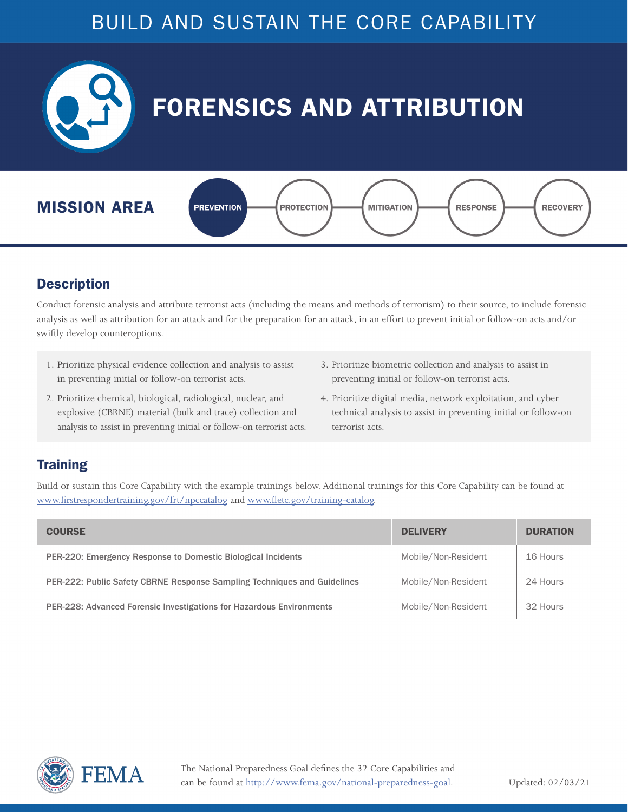<span id="page-13-0"></span>

#### **Description**

Conduct forensic analysis and attribute terrorist acts (including the means and methods of terrorism) to their source, to include forensic analysis as well as attribution for an attack and for the preparation for an attack, in an effort to prevent initial or follow-on acts and/or swiftly develop counteroptions.

- 1. Prioritize physical evidence collection and analysis to assist in preventing initial or follow-on terrorist acts.
- 2. Prioritize chemical, biological, radiological, nuclear, and explosive (CBRNE) material (bulk and trace) collection and analysis to assist in preventing initial or follow-on terrorist acts.
- 3. Prioritize biometric collection and analysis to assist in preventing initial or follow-on terrorist acts.
- 4. Prioritize digital media, network exploitation, and cyber technical analysis to assist in preventing initial or follow-on terrorist acts.

#### **Training**

| <b>COURSE</b>                                                            | <b>DELIVERY</b>     | <b>DURATION</b> |
|--------------------------------------------------------------------------|---------------------|-----------------|
| PER-220: Emergency Response to Domestic Biological Incidents             | Mobile/Non-Resident | 16 Hours        |
| PER-222: Public Safety CBRNE Response Sampling Techniques and Guidelines | Mobile/Non-Resident | 24 Hours        |
| PER-228: Advanced Forensic Investigations for Hazardous Environments     | Mobile/Non-Resident | 32 Hours        |